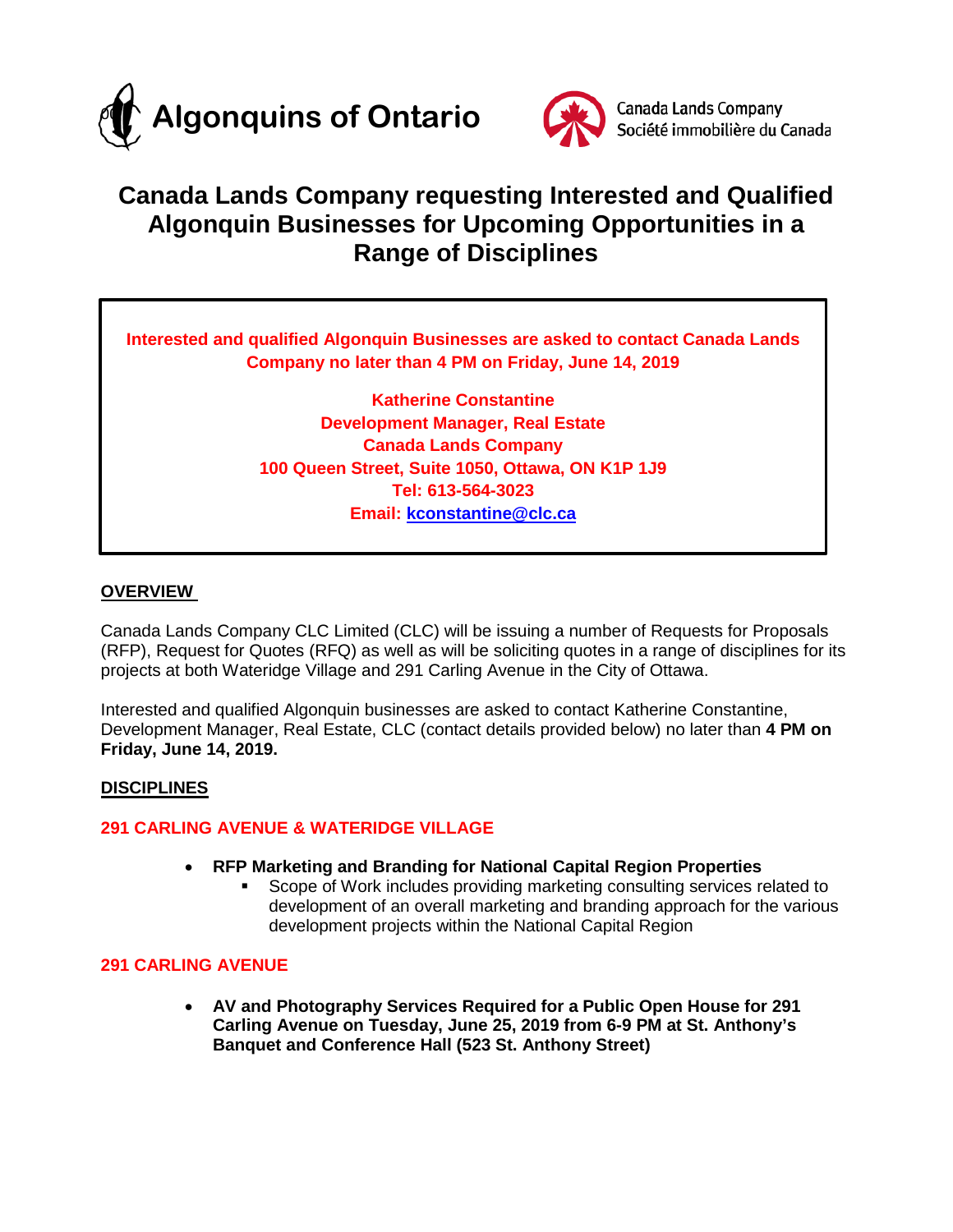



# **Canada Lands Company requesting Interested and Qualified Algonquin Businesses for Upcoming Opportunities in a Range of Disciplines**

**Interested and qualified Algonquin Businesses are asked to contact Canada Lands Company no later than 4 PM on Friday, June 14, 2019**

> **Katherine Constantine Development Manager, Real Estate Canada Lands Company 100 Queen Street, Suite 1050, Ottawa, ON K1P 1J9 Tel: 613-564-3023 Email: [kconstantine@clc.ca](mailto:kconstantine@clc.ca)**

## **OVERVIEW**

Canada Lands Company CLC Limited (CLC) will be issuing a number of Requests for Proposals (RFP), Request for Quotes (RFQ) as well as will be soliciting quotes in a range of disciplines for its projects at both Wateridge Village and 291 Carling Avenue in the City of Ottawa.

Interested and qualified Algonquin businesses are asked to contact Katherine Constantine, Development Manager, Real Estate, CLC (contact details provided below) no later than **4 PM on Friday, June 14, 2019.**

### **DISCIPLINES**

### **291 CARLING AVENUE & WATERIDGE VILLAGE**

- **RFP Marketing and Branding for National Capital Region Properties** 
	- Scope of Work includes providing marketing consulting services related to development of an overall marketing and branding approach for the various development projects within the National Capital Region

### **291 CARLING AVENUE**

• **AV and Photography Services Required for a Public Open House for 291 Carling Avenue on Tuesday, June 25, 2019 from 6-9 PM at St. Anthony's Banquet and Conference Hall (523 St. Anthony Street)**